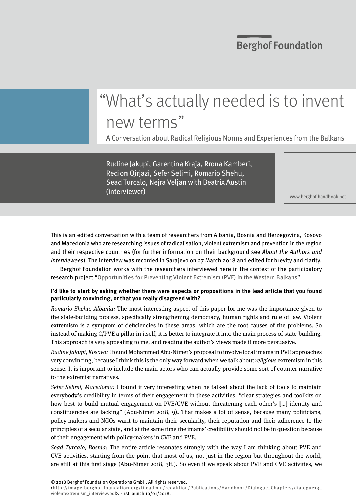### **Berghof Foundation**

# "What's actually needed is to invent new terms"

A Conversation about Radical Religious Norms and Experiences from the Balkans

Rudine Jakupi, Garentina Kraja, Rrona Kamberi, Redion Qirjazi, Sefer Selimi, Romario Shehu, Sead Turcalo, Nejra Veljan with Beatrix Austin (interviewer)

<www.berghof-handbook.net>

This is an edited conversation with a team of researchers from Albania, Bosnia and Herzegovina, Kosovo and Macedonia who are researching issues of radicalisation, violent extremism and prevention in the region and their respective countries (for further information on their background see About the Authors and Interviewees). The interview was recorded in Sarajevo on 27 March 2018 and edited for brevity and clarity.

Berghof Foundation works with the researchers interviewed here in the context of the participatory research project "[Opportunities for Preventing Violent Extremism \(PVE\) in the Western Balkans](https://www.berghof-foundation.org/programmes/conflict-transformation-research/western-balkans-preventing-violent-extremism/)".

#### **I'd like to start by asking whether there were aspects or propositions in the lead article that you found particularly convincing, or that you really disagreed with?**

Romario Shehu, Albania: The most interesting aspect of this paper for me was the importance given to the state-building process, specifically strengthening democracy, human rights and rule of law. Violent extremism is a symptom of deficiencies in these areas, which are the root causes of the problems. So instead of making C/PVE a pillar in itself, it is better to integrate it into the main process of state-building. This approach is very appealing to me, and reading the author's views made it more persuasive.

Rudine Jakupi, Kosovo: I found Mohammed Abu-Nimer's proposal to involve local imams in PVE approaches very convincing, because I think this is the only way forward when we talk about religious extremism in this sense. It is important to include the main actors who can actually provide some sort of counter-narrative to the extremist narratives.

Sefer Selimi, Macedonia: I found it very interesting when he talked about the lack of tools to maintain everybody's credibility in terms of their engagement in these activities: "clear strategies and toolkits on how best to build mutual engagement on PVE/CVE without threatening each other's […] identity and constituencies are lacking" (Abu-Nimer 2018, 9). That makes a lot of sense, because many politicians, policy-makers and NGOs want to maintain their secularity, their reputation and their adherence to the principles of a secular state, and at the same time the imams' credibility should not be in question because of their engagement with policy-makers in CVE and PVE.

Sead Turcalo, Bosnia: The entire article resonates strongly with the way I am thinking about PVE and CVE activities, starting from the point that most of us, not just in the region but throughout the world, are still at this first stage (Abu-Nimer 2018, 3ff.). So even if we speak about PVE and CVE activities, we

<http://image.berghof-foundation.org/fileadmin/redaktion/Publications/Handbook/Dialogue\_Chapters/dialogue13\_ violentextremism\_interview.pdf>. First launch 10/01/2018.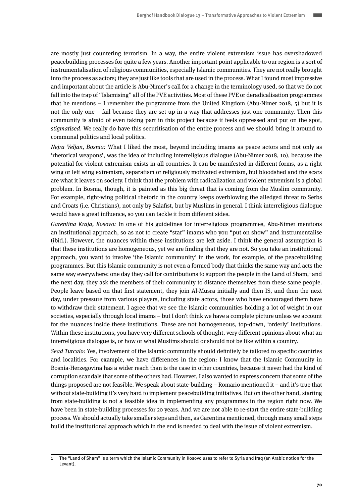are mostly just countering terrorism. In a way, the entire violent extremism issue has overshadowed peacebuilding processes for quite a few years. Another important point applicable to our region is a sort of instrumentalisation of religious communities, especially Islamic communities. They are not really brought into the process as actors; they are just like tools that are used in the process. What I found most impressive and important about the article is Abu-Nimer's call for a change in the terminology used, so that we do not fall into the trap of "Islamising" all of the PVE activities. Most of these PVE or deradicalisation programmes that he mentions – I remember the programme from the United Kingdom (Abu-Nimer 2018, 5) but it is not the only one – fail because they are set up in a way that addresses just one community. Then this community is afraid of even taking part in this project because it feels oppressed and put on the spot, stigmatised. We really do have this securitisation of the entire process and we should bring it around to communal politics and local politics.

Nejra Veljan, Bosnia: What I liked the most, beyond including imams as peace actors and not only as 'rhetorical weapons', was the idea of including interreligious dialogue (Abu-Nimer 2018, 10), because the potential for violent extremism exists in all countries. It can be manifested in different forms, as a right wing or left wing extremism, separatism or religiously motivated extremism, but bloodshed and the scars are what it leaves on society. I think that the problem with radicalization and violent extremism is a global problem. In Bosnia, though, it is painted as this big threat that is coming from the Muslim community. For example, right-wing political rhetoric in the country keeps overblowing the alledged threat to Serbs and Croats (i.e. Christians), not only by Salafist, but by Muslims in general. I think interreligious dialogue would have a great influence, so you can tackle it from different sides.

Garentina Kraja, Kosovo: In one of his guidelines for interreligious programmes, Abu-Nimer mentions an institutional approach, so as not to create "star" imams who you "put on show" and instrumentalise (ibid.). However, the nuances within these institutions are left aside. I think the general assumption is that these institutions are homogeneous, yet we are finding that they are not. So you take an institutional approach, you want to involve 'the Islamic community' in the work, for example, of the peacebuilding programmes. But this Islamic community is not even a formed body that thinks the same way and acts the same way everywhere: one day they call for contributions to support the people in the Land of Sham,<sup>1</sup> and the next day, they ask the members of their community to distance themselves from these same people. People leave based on that first statement, they join Al-Musra initially and then IS, and then the next day, under pressure from various players, including state actors, those who have encouraged them have to withdraw their statement. I agree that we see the Islamic communities holding a lot of weight in our societies, especially through local imams – but I don't think we have a complete picture unless we account for the nuances inside these institutions. These are not homogeneous, top-down, 'orderly' institutions. Within these institutions, you have very different schools of thought, very different opinions about what an interreligious dialogue is, or how or what Muslims should or should not be like within a country.

Sead Turcalo: Yes, involvement of the Islamic community should definitely be tailored to specific countries and localities. For example, we have differences in the region: I know that the Islamic Community in Bosnia-Herzegovina has a wider reach than is the case in other countries, because it never had the kind of corruption scandals that some of the others had. However, I also wanted to express concern that some of the things proposed are not feasible. We speak about state-building – Romario mentioned it – and it's true that without state-building it's very hard to implement peacebuilding initiatives. But on the other hand, starting from state-building is not a feasible idea in implementing any programmes in the region right now. We have been in state-building processes for 20 years. And we are not able to re-start the entire state-building process. We should actually take smaller steps and then, as Garentina mentioned, through many small steps build the institutional approach which in the end is needed to deal with the issue of violent extremism.

**<sup>1</sup>** The "Land of Sham" is a term which the Islamic Community in Kosovo uses to refer to Syria and Iraq (an Arabic notion for the Levant).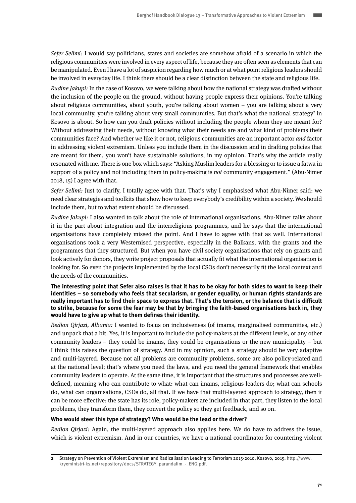Sefer Selimi: I would say politicians, states and societies are somehow afraid of a scenario in which the religious communities were involved in every aspect of life, because they are often seen as elements that can be manipulated. Even I have a lot of suspicion regarding how much or at what point religious leaders should be involved in everyday life. I think there should be a clear distinction between the state and religious life.

Rudine Jakupi: In the case of Kosovo, we were talking about how the national strategy was drafted without the inclusion of the people on the ground, without having people express their opinions. You're talking about religious communities, about youth, you're talking about women – you are talking about a very local community, you're talking about very small communities. But that's what the national strategy<sup>2</sup> in Kosovo is about. So how can you draft policies without including the people whom they are meant for? Without addressing their needs, without knowing what their needs are and what kind of problems their communities face? And whether we like it or not, religious communities are an important actor and factor in addressing violent extremism. Unless you include them in the discussion and in drafting policies that are meant for them, you won't have sustainable solutions, in my opinion. That's why the article really resonated with me. There is one box which says: "Asking Muslim leaders for a blessing or to issue a fatwa in support of a policy and not including them in policy-making is not community engagement." (Abu-Nimer 2018, 15) I agree with that.

Sefer Selimi: Just to clarify, I totally agree with that. That's why I emphasised what Abu-Nimer said: we need clear strategies and toolkits that show how to keep everybody's credibility within a society. We should include them, but to what extent should be discussed.

Rudine Jakupi: I also wanted to talk about the role of international organisations. Abu-Nimer talks about it in the part about integration and the interreligious programmes, and he says that the international organisations have completely missed the point. And I have to agree with that as well. International organisations took a very Westernised perspective, especially in the Balkans, with the grants and the programmes that they structured. But when you have civil society organisations that rely on grants and look actively for donors, they write project proposals that actually fit what the international organisation is looking for. So even the projects implemented by the local CSOs don't necessarily fit the local context and the needs of the communities.

#### **The interesting point that Sefer also raises is that it has to be okay for both sides to want to keep their identities – so somebody who feels that secularism, or gender equality, or human rights standards are really important has to find their space to express that. That's the tension, or the balance that is difficult to strike, because for some the fear may be that by bringing the faith-based organisations back in, they would have to give up what to them defines their identity.**

Redion Qirjazi, Albania: I wanted to focus on inclusiveness (of imams, marginalised communities, etc.) and unpack that a bit. Yes, it is important to include the policy-makers at the different levels, or any other community leaders – they could be imams, they could be organisations or the new municipality – but I think this raises the question of strategy. And in my opinion, such a strategy should be very adaptive and multi-layered. Because not all problems are community problems, some are also policy-related and at the national level; that's where you need the laws, and you need the general framework that enables community leaders to operate. At the same time, it is important that the structures and processes are welldefined, meaning who can contribute to what: what can imams, religious leaders do; what can schools do, what can organisations, CSOs do, all that. If we have that multi-layered approach to strategy, then it can be more effective: the state has its role, policy-makers are included in that part, they listen to the local problems, they transform them, they convert the policy so they get feedback, and so on.

#### **Who would steer this type of strategy? Who would be the lead or the driver?**

Redion Qirjazi: Again, the multi-layered approach also applies here. We do have to address the issue, which is violent extremism. And in our countries, we have a national coordinator for countering violent

**<sup>2</sup>** Strategy on Prevention of Violent Extremism and Radicalisation Leading to Terrorism 2015-2010, Kosovo, 2015: http://www. kryeministri-ks.net/repository/docs/STRATEGY\_parandalim\_-\_ENG.pdf.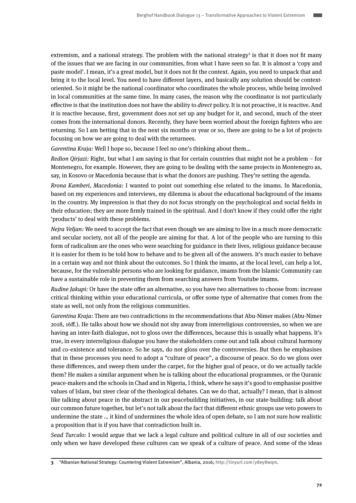extremism, and a national strategy. The problem with the national strategy<sup>3</sup> is that it does not fit many of the issues that we are facing in our communities, from what I have seen so far. It is almost a 'copy and paste model'. I mean, it's a great model, but it does not fit the context. Again, you need to unpack that and bring it to the local level. You need to have different layers, and basically any solution should be contextoriented. So it might be the national coordinator who coordinates the whole process, while being involved in local communities at the same time. In many cases, the reason why the coordinator is not particularly effective is that the institution does not have the ability to direct policy. It is not proactive, it is reactive. And it is reactive because, first, government does not set up any budget for it, and second, much of the steer comes from the international donors. Recently, they have been worried about the foreign fighters who are returning. So I am betting that in the next six months or year or so, there are going to be a lot of projects focusing on how we are going to deal with the returnees.

Garentina Kraja: Well I hope so, because I feel no one's thinking about them…

Redion Qirjazi: Right, but what I am saying is that for certain countries that might not be a problem – for Montenegro, for example. However, they are going to be dealing with the same projects in Montenegro as, say, in Kosovo or Macedonia because that is what the donors are pushing. They're setting the agenda.

Rrona Kamberi, Macedonia: I wanted to point out something else related to the imams. In Macedonia, based on my experiences and interviews, my dilemma is about the educational background of the imams in the country. My impression is that they do not focus strongly on the psychological and social fields in their education; they are more firmly trained in the spiritual. And I don't know if they could offer the right 'products' to deal with these problems.

Nejra Veljan: We need to accept the fact that even though we are aiming to live in a much more democratic and secular society, not all of the people are aiming for that. A lot of the people who are turning to this form of radicalism are the ones who were searching for guidance in their lives, religious guidance because it is easier for them to be told how to behave and to be given all of the answers. It's much easier to behave in a certain way and not think about the outcomes. So I think the imams, at the local level, can help a lot, because, for the vulnerable persons who are looking for guidance, imams from the Islamic Community can have a sustainable role in preventing them from searching answers from Youtube imams.

Rudine Jakupi: Or have the state offer an alternative, so you have two alternatives to choose from: increase critical thinking within your educational curricula, or offer some type of alternative that comes from the state as well, not only from the religious communities.

Garentina Kraja: There are two contradictions in the recommendations that Abu-Nimer makes (Abu-Nimer 2018, 16ff.). He talks about how we should not shy away from interreligious controversies, so when we are having an inter-faith dialogue, not to gloss over the differences, because this is usually what happens. It's true, in every interreligious dialogue you have the stakeholders come out and talk about cultural harmony and co-existence and tolerance. So he says, do not gloss over the controversies. But then he emphasises that in these processes you need to adopt a "culture of peace", a discourse of peace. So do we gloss over these differences, and sweep them under the carpet, for the higher goal of peace, or do we actually tackle them? He makes a similar argument when he is talking about the educational programmes, or the Quranic peace-makers and the schools in Chad and in Nigeria, I think, where he says it's good to emphasise positive values of Islam, but steer clear of the theological debates. Can we do that, actually? I mean, that is almost like talking about peace in the abstract in our peacebuilding initiatives, in our state-building: talk about our common future together, but let's not talk about the fact that different ethnic groups use veto powers to undermine the state … it kind of undermines the whole idea of open debate, so I am not sure how realistic a proposition that is if you have that contradiction built in.

Sead Turcalo: I would argue that we lack a legal culture and political culture in all of our societies and only when we have developed these cultures can we speak of a culture of peace. And some of the ideas

**3** "Albanian National Strategy: Countering Violent Extremism", Albania, 2016; http://tinyurl.com/y8ey8wqm.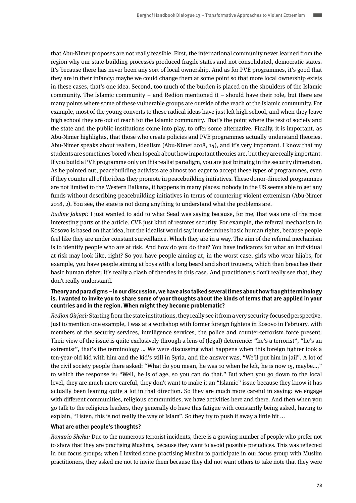that Abu-Nimer proposes are not really feasible. First, the international community never learned from the region why our state-building processes produced fragile states and not consolidated, democratic states. It's because there has never been any sort of local ownership. And as for PVE programmes, it's good that they are in their infancy: maybe we could change them at some point so that more local ownership exists in these cases, that's one idea. Second, too much of the burden is placed on the shoulders of the Islamic community. The Islamic community – and Redion mentioned it – should have their role, but there are many points where some of these vulnerable groups are outside of the reach of the Islamic community. For example, most of the young converts to these radical ideas have just left high school, and when they leave high school they are out of reach for the Islamic community. That's the point where the rest of society and the state and the public institutions come into play, to offer some alternative. Finally, it is important, as Abu-Nimer highlights, that those who create policies and PVE programmes actually understand theories. Abu-Nimer speaks about realism, idealism (Abu-Nimer 2018, 14), and it's very important. I know that my students are sometimes bored when I speak about how important theories are, but they are really important. If you build a PVE programme only on this realist paradigm, you are just bringing in the security dimension. As he pointed out, peacebuilding activists are almost too eager to accept these types of programmes, even if they counter all of the ideas they promote in peacebuilding initiatives. These donor-directed programmes are not limited to the Western Balkans, it happens in many places: nobody in the US seems able to get any funds without describing peacebuilding initiatives in terms of countering violent extremism (Abu-Nimer 2018, 2). You see, the state is not doing anything to understand what the problems are.

Rudine Jakupi: I just wanted to add to what Sead was saying because, for me, that was one of the most interesting parts of the article. CVE just kind of restores security. For example, the referral mechanism in Kosovo is based on that idea, but the idealist would say it undermines basic human rights, because people feel like they are under constant surveillance. Which they are in a way. The aim of the referral mechanism is to identify people who are at risk. And how do you do that? You have indicators for what an individual at risk may look like, right? So you have people aiming at, in the worst case, girls who wear hijabs, for example, you have people aiming at boys with a long beard and short trousers, which then breaches their basic human rights. It's really a clash of theories in this case. And practitioners don't really see that, they don't really understand.

#### **Theory and paradigms – in our discussion, we have also talked several times about how fraught terminology is. I wanted to invite you to share some of your thoughts about the kinds of terms that are applied in your countries and in the region. When might they become problematic?**

Redion Qirjazi: Starting from the state institutions, they really see it from a very security-focused perspective. Just to mention one example, I was at a workshop with former foreign fighters in Kosovo in February, with members of the security services, intelligence services, the police and counter-terrorism force present. Their view of the issue is quite exclusively through a lens of (legal) deterrence: "he's a terrorist", "he's an extremist", that's the terminology … We were discussing what happens when this foreign fighter took a ten-year-old kid with him and the kid's still in Syria, and the answer was, "We'll put him in jail". A lot of the civil society people there asked: "What do you mean, he was 10 when he left, he is now 15, maybe…," to which the response is: "Well, he is of age, so you can do that." But when you go down to the local level, they are much more careful, they don't want to make it an "Islamic" issue because they know it has actually been leaning quite a lot in that direction. So they are much more careful in saying: we engage with different communities, religious communities, we have activities here and there. And then when you go talk to the religious leaders, they generally do have this fatigue with constantly being asked, having to explain, "Listen, this is not really the way of Islam". So they try to push it away a little bit ...

#### **What are other people's thoughts?**

Romario Shehu: Due to the numerous terrorist incidents, there is a growing number of people who prefer not to show that they are practising Muslims, because they want to avoid possible prejudices. This was reflected in our focus groups; when I invited some practising Muslim to participate in our focus group with Muslim practitioners, they asked me not to invite them because they did not want others to take note that they were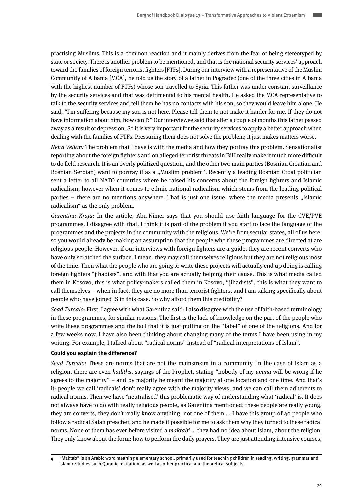practising Muslims. This is a common reaction and it mainly derives from the fear of being stereotyped by state or society. There is another problem to be mentioned, and that is the national security services' approach toward the families of foreign terrorist fighters [FTFs]. During our interview with a representative of the Muslim Community of Albania [MCA], he told us the story of a father in Pogradec (one of the three cities in Albania with the highest number of FTFs) whose son travelled to Syria. This father was under constant surveillance by the security services and that was detrimental to his mental health. He asked the MCA representative to talk to the security services and tell them he has no contacts with his son, so they would leave him alone. He said, "I'm suffering because my son is not here. Please tell them to not make it harder for me. If they do not have information about him, how can I?" Our interviewee said that after a couple of months this father passed away as a result of depression. So it is very important for the security services to apply a better approach when dealing with the families of FTFs. Pressuring them does not solve the problem; it just makes matters worse.

Nejra Veljan: The problem that I have is with the media and how they portray this problem. Sensationalist reporting about the foreign fighters and on alleged terrorist threats in BiH really make it much more difficult to do field research. It is an overly politized question, and the other two main parties (Bosnian Croatian and Bosnian Serbian) want to portray it as a "Muslim problem". Recently a leading Bosnian Croat politician sent a letter to all NATO countries where he raised his concerns about the foreign fighters and Islamic radicalism, however when it comes to ethnic-national radicalism which stems from the leading political parties – there are no mentions anywhere. That is just one issue, where the media presents "Islamic radicalism" as the only problem.

Garentina Kraja: In the article, Abu-Nimer says that you should use faith language for the CVE/PVE programmes. I disagree with that. I think it is part of the problem if you start to lace the language of the programmes and the projects in the community with the religious. We're from secular states, all of us here, so you would already be making an assumption that the people who these programmes are directed at are religious people. However, if our interviews with foreign fighters are a guide, they are recent converts who have only scratched the surface. I mean, they may call themselves religious but they are not religious most of the time. Then what the people who are going to write these projects will actually end up doing is calling foreign fighters "jihadists", and with that you are actually helping their cause. This is what media called them in Kosovo, this is what policy-makers called them in Kosovo, "jihadists", this is what they want to call themselves – when in fact, they are no more than terrorist fighters, and I am talking specifically about people who have joined IS in this case. So why afford them this credibility?

Sead Turcalo: First, I agree with what Garentina said: I also disagree with the use of faith-based terminology in these programmes, for similar reasons. The first is the lack of knowledge on the part of the people who write these programmes and the fact that it is just putting on the "label" of one of the religions. And for a few weeks now, I have also been thinking about changing many of the terms I have been using in my writing. For example, I talked about "radical norms" instead of "radical interpretations of Islam".

#### **Could you explain the difference?**

Sead Turcalo: These are norms that are not the mainstream in a community. In the case of Islam as a religion, there are even hadiths, sayings of the Prophet, stating "nobody of my umma will be wrong if he agrees to the majority" – and by majority he meant the majority at one location and one time. And that's it: people we call 'radicals' don't really agree with the majority views, and we can call them adherents to radical norms. Then we have 'neutralised' this problematic way of understanding what 'radical' is. It does not always have to do with really religious people, as Garentina mentioned: these people are really young, they are converts, they don't really know anything, not one of them … I have this group of 40 people who follow a radical Salafi preacher, and he made it possible for me to ask them why they turned to these radical norms. None of them has ever before visited a maktab*<sup>4</sup>* … they had no idea about Islam, about the religion. They only know about the form: how to perform the daily prayers. They are just attending intensive courses,

**<sup>4</sup>** "Maktab" is an Arabic word meaning elementary school, primarily used for teaching children in reading, writing, grammar and Islamic studies such Quranic recitation, as well as other practical and theoretical subjects.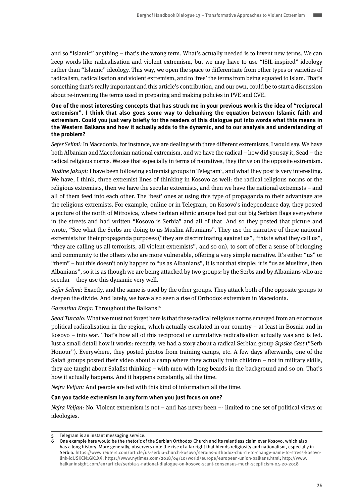and so "Islamic" anything – that's the wrong term. What's actually needed is to invent new terms. We can keep words like radicalisation and violent extremism, but we may have to use "ISIL-inspired" ideology rather than "Islamic" ideology. This way, we open the space to differentiate from other types or varieties of radicalism, radicalisation and violent extremism, and to 'free' the terms from being equated to Islam. That's something that's really important and this article's contribution, and our own, could be to start a discussion about re-inventing the terms used in preparing and making policies in PVE and CVE.

**One of the most interesting concepts that has struck me in your previous work is the idea of "reciprocal extremism". I think that also goes some way to debunking the equation between Islamic faith and extremism. Could you just very briefly for the readers of this dialogue put into words what this means in the Western Balkans and how it actually adds to the dynamic, and to our analysis and understanding of the problem?**

Sefer Selimi: In Macedonia, for instance, we are dealing with three different extremisms, I would say. We have both Albanian and Macedonian national extremism, and we have the radical – how did you say it, Sead – the radical religious norms. We see that especially in terms of narratives, they thrive on the opposite extremism.

Rudine Jakupi: I have been following extremist groups in Telegram<sup>5</sup>, and what they post is very interesting. We have, I think, three extremist lines of thinking in Kosovo as well: the radical religious norms or the religious extremists, then we have the secular extremists, and then we have the national extremists – and all of them feed into each other. The 'best' ones at using this type of propaganda to their advantage are the religious extremists. For example, online or in Telegram, on Kosovo's independence day, they posted a picture of the north of Mitrovica, where Serbian ethnic groups had put out big Serbian flags everywhere in the streets and had written "Kosovo is Serbia" and all of that. And so they posted that picture and wrote, "See what the Serbs are doing to us Muslim Albanians". They use the narrative of these national extremists for their propaganda purposes ("they are discriminating against us", "this is what they call us", "they are calling us all terrorists, all violent extremists", and so on), to sort of offer a sense of belonging and community to the others who are more vulnerable, offering a very simple narrative. It's either "us" or "them" – but this doesn't only happen to "us as Albanians", it is not that simple; it is "us as Muslims, then Albanians", so it is as though we are being attacked by two groups: by the Serbs and by Albanians who are secular – they use this dynamic very well.

Sefer Selimi: Exactly, and the same is used by the other groups. They attack both of the opposite groups to deepen the divide. And lately, we have also seen a rise of Orthodox extremism in Macedonia.

Garentina Kraja: Throughout the Balkans!<sup>6</sup>

Sead Turcalo: What we must not forget here is that these radical religious norms emerged from an enormous political radicalisation in the region, which actually escalated in our country – at least in Bosnia and in Kosovo – into war. That's how all of this reciprocal or cumulative radicalisation actually was and is fed. Just a small detail how it works: recently, we had a story about a radical Serbian group Srpska Cast ("Serb Honour"). Everywhere, they posted photos from training camps, etc. A few days afterwards, one of the Salafi groups posted their video about a camp where they actually train children – not in military skills, they are taught about Salafist thinking – with men with long beards in the background and so on. That's how it actually happens. And it happens constantly, all the time.

Nejra Veljan: And people are fed with this kind of information all the time.

#### **Can you tackle extremism in any form when you just focus on one?**

Nejra Veljan: No. Violent extremism is not – and has never been –- limited to one set of political views or ideologies.

**<sup>5</sup>** Telegram is an instant messaging service.

**<sup>6</sup>** One example here would be the rhetoric of the Serbian Orthodox Church and its relentless claim over Kosovo, which also has a long history. More generally, observers note the rise of a far right that blends religiosity and nationalism, especially in Serbia. https://www.reuters.com/article/us-serbia-church-kosovo/serbias-orthodox-church-to-change-name-to-stress-kosovolink-idUSKCN1GK1XX; https://www.nytimes.com/2018/04/10/world/europe/european-union-balkans.html; http://www. balkaninsight.com/en/article/serbia-s-national-dialogue-on-kosovo-scant-consensus-much-scepticism-04-20-2018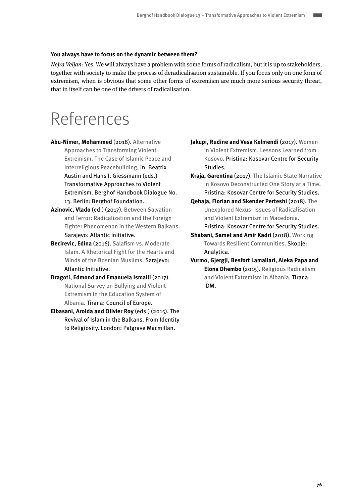#### **You always have to focus on the dynamic between them?**

Nejra Veljan: Yes. We will always have a problem with some forms of radicalism, but it is up to stakeholders, together with society to make the process of deradicalisation sustainable. If you focus only on one form of extremism, when is obvious that some other forms of extremism are much more serious security threat, that in itself can be one of the drivers of radicalisation.

## References

- **Abu-Nimer, Mohammed** (2018). Alternative Approaches to Transforming Violent Extremism. The Case of Islamic Peace and Interreligious Peacebuilding, in: Beatrix Austin and Hans J. Giessmann (eds.) Transformative Approaches to Violent Extremism. Berghof Handbook Dialogue No. 13. Berlin: Berghof Foundation.
- **Azinovic, Vlado** (ed.) (2017). [Between Salvation](http://www.atlantskainicijativa.org/bos/images/BETWEEN_SALVATION_AND_TERROR/BetweenSalvationAndTerror.pdf)  [and Terror: Radicalization and the Foreign](http://www.atlantskainicijativa.org/bos/images/BETWEEN_SALVATION_AND_TERROR/BetweenSalvationAndTerror.pdf)  [Fighter Phenomenon in the Western Balkans](http://www.atlantskainicijativa.org/bos/images/BETWEEN_SALVATION_AND_TERROR/BetweenSalvationAndTerror.pdf). Sarajevo: Atlantic Initiative.
- **Becirevic, Edina** (2016). [Salafism vs. Moderate](http://www.atlantskainicijativa.org/bos/images/2015/dokumenti_i_publikacije/Salafism_vs._moderate_islam-web.pdf)  [Islam. A Rhetorical Fight for the Hearts and](http://www.atlantskainicijativa.org/bos/images/2015/dokumenti_i_publikacije/Salafism_vs._moderate_islam-web.pdf)  [Minds of the Bosnian Muslims.](http://www.atlantskainicijativa.org/bos/images/2015/dokumenti_i_publikacije/Salafism_vs._moderate_islam-web.pdf) Sarajevo: Atlantic Initiative.
- **Dragoti, Edmond and Emanuela Ismaili** (2017). [National Survey on Bullying and Violent](https://rm.coe.int/albania-study-report-on-bullying-egn/1680732872)  [Extremism In the Education System of](https://rm.coe.int/albania-study-report-on-bullying-egn/1680732872)  [Albania](https://rm.coe.int/albania-study-report-on-bullying-egn/1680732872). Tirana: Council of Europe.
- **Elbasani, Arolda and Olivier Roy** (eds.) (2015). The Revival of Islam in the Balkans. From Identity to Religiosity. London: Palgrave Macmillan.
- **Jakupi, Rudine and Vesa Kelmendi (2017). Women** [in Violent Extremism. Lessons Learned from](http://www.qkss.org/repository/docs/women-in-ve-eng_594236.pdf)  [Kosovo.](http://www.qkss.org/repository/docs/women-in-ve-eng_594236.pdf) Pristina: Kosovar Centre for Security Studies.
- **Kraja, Garentina** (2017). [The Islamic State Narrative](http://www.qkss.org/repository/docs/ISNinKosovo-eng_794656.pdf)  [in Kosovo Deconstructed One Story at a Time.](http://www.qkss.org/repository/docs/ISNinKosovo-eng_794656.pdf) Pristina: Kosovar Centre for Security Studies.
- **Qehaja, Florian and Skender Perteshi** (2018). [The](http://www.qkss.org/repository/docs/Extremism_in_macedonia_402663.pdf)  [Unexplored Nexus: Issues of Radicalisation](http://www.qkss.org/repository/docs/Extremism_in_macedonia_402663.pdf)  [and Violent Extremism in Macedonia.](http://www.qkss.org/repository/docs/Extremism_in_macedonia_402663.pdf) Pristina: Kosovar Centre for Security Studies.
- **Shabani, Samet and Amir Kadri (2018). Working** [Towards Resilient Communities. S](https://www.analyticamk.org/images/2018/CVE-EN-FINAL-WEB_272e4.pdf)kopje: Analytica.
- **Vurmo, Gjergji, Besfort Lamallari, Aleka Papa and Elona Dhembo** (2015). [Religious Radicalism](http://idmalbania.org/wp-content/uploads/2015/07/Religious-Radicalism-Albania-web-final.pdf%20)  [and Violent Extremism in Albania](http://idmalbania.org/wp-content/uploads/2015/07/Religious-Radicalism-Albania-web-final.pdf%20). Tirana: IDM.